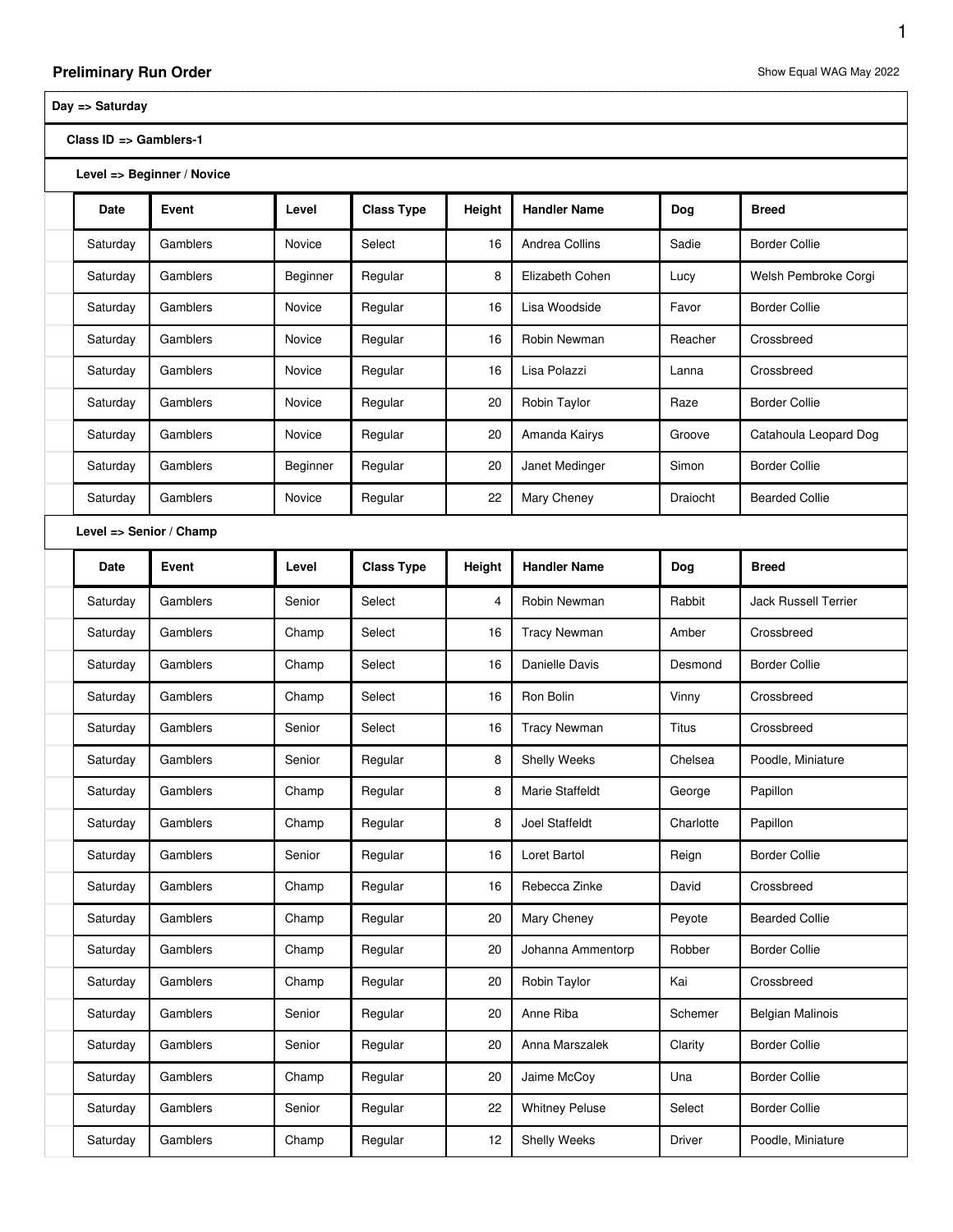## **Day => Saturday**

**Class ID => Gamblers-1**

**Level => Beginner / Novice**

| Date                    | Event    | Level    | <b>Class Type</b> | Height | <b>Handler Name</b>   | Dog          | <b>Breed</b>                |  |
|-------------------------|----------|----------|-------------------|--------|-----------------------|--------------|-----------------------------|--|
| Saturday                | Gamblers | Novice   | Select            | 16     | Andrea Collins        | Sadie        | <b>Border Collie</b>        |  |
| Saturday                | Gamblers | Beginner | Regular           | 8      | Elizabeth Cohen       | Lucy         | Welsh Pembroke Corgi        |  |
| Saturday                | Gamblers | Novice   | Regular           | 16     | Lisa Woodside         | Favor        | <b>Border Collie</b>        |  |
| Saturday                | Gamblers | Novice   | Regular           | 16     | Robin Newman          | Reacher      | Crossbreed                  |  |
| Saturday                | Gamblers | Novice   | Regular           | 16     | Lisa Polazzi          | Lanna        | Crossbreed                  |  |
| Saturday                | Gamblers | Novice   | Regular           | 20     | Robin Taylor          | Raze         | <b>Border Collie</b>        |  |
| Saturday                | Gamblers | Novice   | Regular           | 20     | Amanda Kairys         | Groove       | Catahoula Leopard Dog       |  |
| Saturday                | Gamblers | Beginner | Regular           | 20     | Janet Medinger        | Simon        | <b>Border Collie</b>        |  |
| Saturday                | Gamblers | Novice   | Regular           | 22     | Mary Cheney           | Draiocht     | <b>Bearded Collie</b>       |  |
| Level => Senior / Champ |          |          |                   |        |                       |              |                             |  |
| Date                    | Event    | Level    | <b>Class Type</b> | Height | <b>Handler Name</b>   | Dog          | <b>Breed</b>                |  |
| Saturday                | Gamblers | Senior   | Select            | 4      | Robin Newman          | Rabbit       | <b>Jack Russell Terrier</b> |  |
| Saturday                | Gamblers | Champ    | Select            | 16     | <b>Tracy Newman</b>   | Amber        | Crossbreed                  |  |
| Saturday                | Gamblers | Champ    | Select            | 16     | Danielle Davis        | Desmond      | <b>Border Collie</b>        |  |
| Saturday                | Gamblers | Champ    | Select            | 16     | Ron Bolin             | Vinny        | Crossbreed                  |  |
| Saturday                | Gamblers | Senior   | Select            | 16     | <b>Tracy Newman</b>   | <b>Titus</b> | Crossbreed                  |  |
| Saturday                | Gamblers | Senior   | Regular           | 8      | Shelly Weeks          | Chelsea      | Poodle, Miniature           |  |
| Saturday                | Gamblers | Champ    | Regular           | 8      | Marie Staffeldt       | George       | Papillon                    |  |
| Saturday                | Gamblers | Champ    | Regular           | 8      | Joel Staffeldt        | Charlotte    | Papillon                    |  |
| Saturday                | Gamblers | Senior   | Regular           | 16     | Loret Bartol          | Reign        | <b>Border Collie</b>        |  |
| Saturday                | Gamblers | Champ    | Regular           | 16     | Rebecca Zinke         | David        | Crossbreed                  |  |
| Saturday                | Gamblers | Champ    | Regular           | 20     | Mary Cheney           | Peyote       | <b>Bearded Collie</b>       |  |
| Saturday                | Gamblers | Champ    | Regular           | 20     | Johanna Ammentorp     | Robber       | <b>Border Collie</b>        |  |
| Saturday                | Gamblers | Champ    | Regular           | 20     | Robin Taylor          | Kai          | Crossbreed                  |  |
| Saturday                | Gamblers | Senior   | Regular           | 20     | Anne Riba             | Schemer      | <b>Belgian Malinois</b>     |  |
| Saturday                | Gamblers | Senior   | Regular           | 20     | Anna Marszalek        | Clarity      | <b>Border Collie</b>        |  |
| Saturday                | Gamblers | Champ    | Regular           | 20     | Jaime McCoy           | Una          | <b>Border Collie</b>        |  |
| Saturday                | Gamblers | Senior   | Regular           | 22     | <b>Whitney Peluse</b> | Select       | <b>Border Collie</b>        |  |
| Saturday                | Gamblers | Champ    | Regular           | 12     | Shelly Weeks          | Driver       | Poodle, Miniature           |  |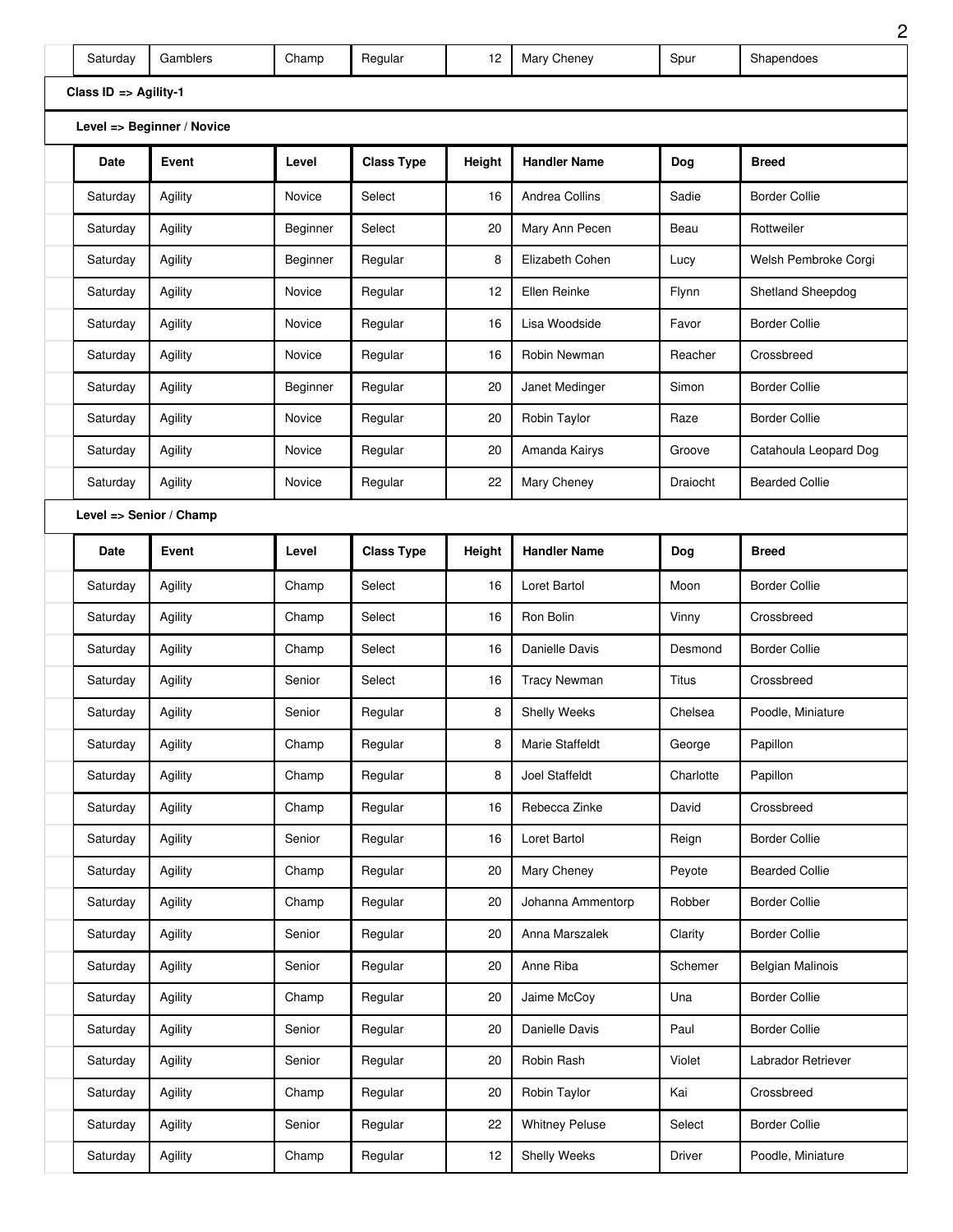| Saturday              | Gamblers                   | Champ    | Regular           | 12     | Mary Cheney           | Spur      | Shapendoes              |
|-----------------------|----------------------------|----------|-------------------|--------|-----------------------|-----------|-------------------------|
| Class ID => Agility-1 |                            |          |                   |        |                       |           |                         |
|                       | Level => Beginner / Novice |          |                   |        |                       |           |                         |
| Date                  | Event                      | Level    | <b>Class Type</b> | Height | <b>Handler Name</b>   | Dog       | <b>Breed</b>            |
| Saturday              | Agility                    | Novice   | Select            | 16     | Andrea Collins        | Sadie     | <b>Border Collie</b>    |
| Saturday              | Agility                    | Beginner | Select            | 20     | Mary Ann Pecen        | Beau      | Rottweiler              |
| Saturday              | Agility                    | Beginner | Regular           | 8      | Elizabeth Cohen       | Lucy      | Welsh Pembroke Corgi    |
| Saturday              | Agility                    | Novice   | Regular           | 12     | Ellen Reinke          | Flynn     | Shetland Sheepdog       |
| Saturday              | Agility                    | Novice   | Regular           | 16     | Lisa Woodside         | Favor     | <b>Border Collie</b>    |
| Saturday              | Agility                    | Novice   | Regular           | 16     | Robin Newman          | Reacher   | Crossbreed              |
| Saturday              | Agility                    | Beginner | Regular           | 20     | Janet Medinger        | Simon     | <b>Border Collie</b>    |
| Saturday              | Agility                    | Novice   | Regular           | 20     | Robin Taylor          | Raze      | <b>Border Collie</b>    |
| Saturday              | Agility                    | Novice   | Regular           | 20     | Amanda Kairys         | Groove    | Catahoula Leopard Dog   |
| Saturday              | Agility                    | Novice   | Regular           | 22     | Mary Cheney           | Draiocht  | <b>Bearded Collie</b>   |
|                       | Level => Senior / Champ    |          |                   |        |                       |           |                         |
| Date                  | Event                      | Level    | <b>Class Type</b> | Height | <b>Handler Name</b>   | Dog       | Breed                   |
| Saturday              | Agility                    | Champ    | Select            | 16     | Loret Bartol          | Moon      | <b>Border Collie</b>    |
| Saturday              | Agility                    | Champ    | Select            | 16     | Ron Bolin             | Vinny     | Crossbreed              |
| Saturday              | Agility                    | Champ    | Select            | 16     | Danielle Davis        | Desmond   | <b>Border Collie</b>    |
| Saturday              | Agility                    | Senior   | Select            | 16     | <b>Tracy Newman</b>   | Titus     | Crossbreed              |
| Saturday              | Agility                    | Senior   | Regular           | 8      | <b>Shelly Weeks</b>   | Chelsea   | Poodle, Miniature       |
| Saturday              | Agility                    | Champ    | Regular           | 8      | Marie Staffeldt       | George    | Papillon                |
| Saturday              | Agility                    | Champ    | Regular           | 8      | Joel Staffeldt        | Charlotte | Papillon                |
| Saturday              | Agility                    | Champ    | Regular           | 16     | Rebecca Zinke         | David     | Crossbreed              |
| Saturday              | Agility                    | Senior   | Regular           | 16     | Loret Bartol          | Reign     | <b>Border Collie</b>    |
| Saturday              | Agility                    | Champ    | Regular           | 20     | Mary Cheney           | Peyote    | <b>Bearded Collie</b>   |
| Saturday              | Agility                    | Champ    | Regular           | 20     | Johanna Ammentorp     | Robber    | <b>Border Collie</b>    |
| Saturday              | Agility                    | Senior   | Regular           | 20     | Anna Marszalek        | Clarity   | <b>Border Collie</b>    |
| Saturday              | Agility                    | Senior   | Regular           | 20     | Anne Riba             | Schemer   | <b>Belgian Malinois</b> |
| Saturday              | Agility                    | Champ    | Regular           | 20     | Jaime McCoy           | Una       | <b>Border Collie</b>    |
| Saturday              | Agility                    | Senior   | Regular           | 20     | Danielle Davis        | Paul      | <b>Border Collie</b>    |
| Saturday              | Agility                    | Senior   | Regular           | 20     | Robin Rash            | Violet    | Labrador Retriever      |
| Saturday              | Agility                    | Champ    | Regular           | 20     | Robin Taylor          | Kai       | Crossbreed              |
| Saturday              | Agility                    | Senior   | Regular           | 22     | <b>Whitney Peluse</b> | Select    | <b>Border Collie</b>    |
| Saturday              | Agility                    | Champ    | Regular           | 12     | Shelly Weeks          | Driver    | Poodle, Miniature       |

L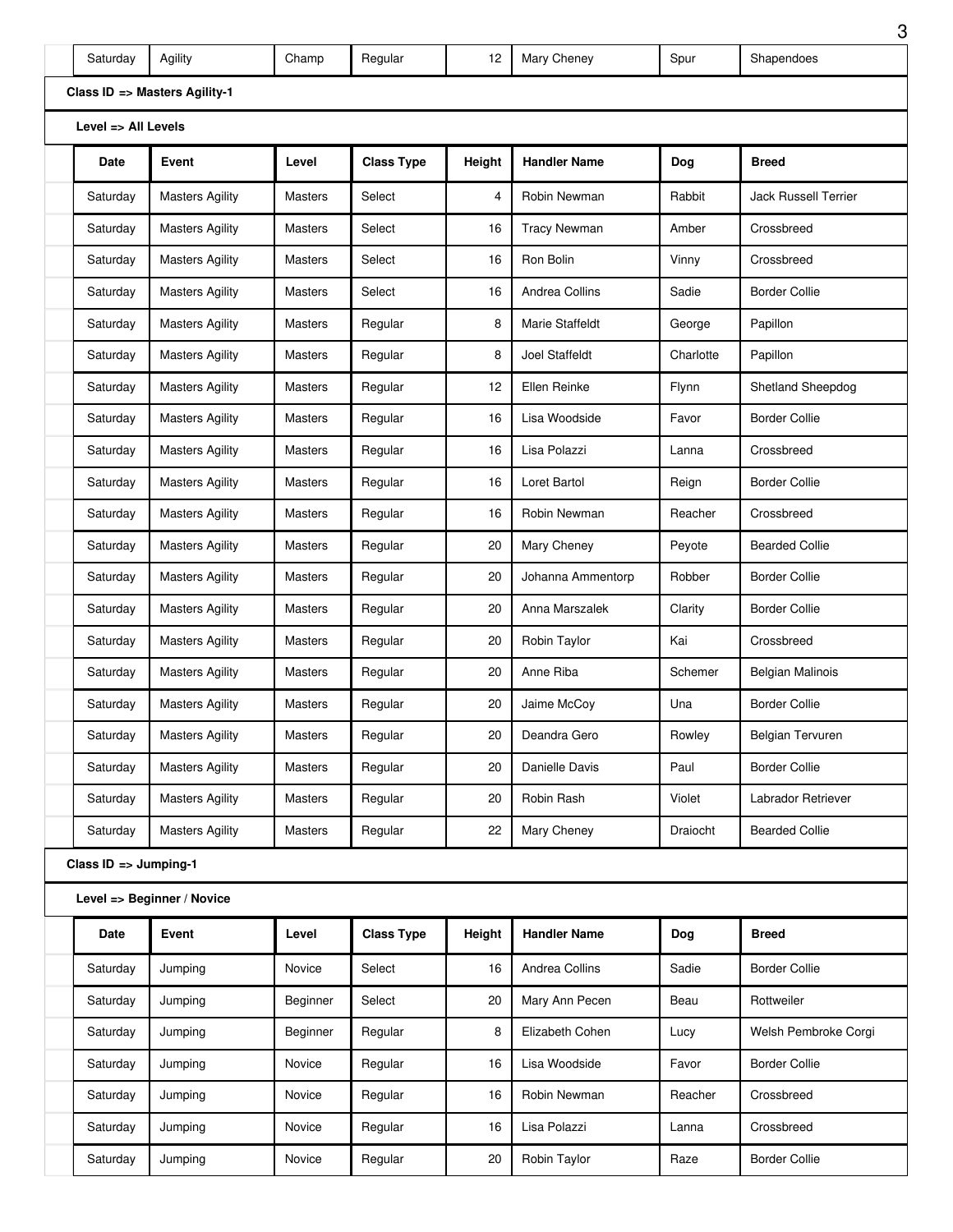| Saturday                       | Agility                       | Champ          | Regular           | 12     | Mary Cheney         | Spur      | Shapendoes                  |
|--------------------------------|-------------------------------|----------------|-------------------|--------|---------------------|-----------|-----------------------------|
|                                | Class ID => Masters Agility-1 |                |                   |        |                     |           |                             |
| Level $\Rightarrow$ All Levels |                               |                |                   |        |                     |           |                             |
| Date                           | Event                         | Level          | <b>Class Type</b> | Height | <b>Handler Name</b> | Dog       | <b>Breed</b>                |
| Saturday                       | <b>Masters Agility</b>        | <b>Masters</b> | Select            | 4      | Robin Newman        | Rabbit    | <b>Jack Russell Terrier</b> |
| Saturday                       | <b>Masters Agility</b>        | <b>Masters</b> | Select            | 16     | <b>Tracy Newman</b> | Amber     | Crossbreed                  |
| Saturday                       | <b>Masters Agility</b>        | <b>Masters</b> | Select            | 16     | Ron Bolin           | Vinny     | Crossbreed                  |
| Saturday                       | <b>Masters Agility</b>        | <b>Masters</b> | Select            | 16     | Andrea Collins      | Sadie     | <b>Border Collie</b>        |
| Saturday                       | <b>Masters Agility</b>        | <b>Masters</b> | Regular           | 8      | Marie Staffeldt     | George    | Papillon                    |
| Saturday                       | <b>Masters Agility</b>        | <b>Masters</b> | Regular           | 8      | Joel Staffeldt      | Charlotte | Papillon                    |
| Saturday                       | <b>Masters Agility</b>        | <b>Masters</b> | Regular           | 12     | Ellen Reinke        | Flynn     | Shetland Sheepdog           |
| Saturday                       | <b>Masters Agility</b>        | <b>Masters</b> | Regular           | 16     | Lisa Woodside       | Favor     | <b>Border Collie</b>        |
| Saturday                       | <b>Masters Agility</b>        | <b>Masters</b> | Regular           | 16     | Lisa Polazzi        | Lanna     | Crossbreed                  |
| Saturday                       | <b>Masters Agility</b>        | <b>Masters</b> | Regular           | 16     | Loret Bartol        | Reign     | <b>Border Collie</b>        |
| Saturday                       | <b>Masters Agility</b>        | <b>Masters</b> | Regular           | 16     | Robin Newman        | Reacher   | Crossbreed                  |
| Saturday                       | <b>Masters Agility</b>        | <b>Masters</b> | Regular           | 20     | Mary Cheney         | Peyote    | <b>Bearded Collie</b>       |
| Saturday                       | <b>Masters Agility</b>        | <b>Masters</b> | Regular           | 20     | Johanna Ammentorp   | Robber    | <b>Border Collie</b>        |
| Saturday                       | <b>Masters Agility</b>        | <b>Masters</b> | Regular           | 20     | Anna Marszalek      | Clarity   | <b>Border Collie</b>        |
| Saturday                       | <b>Masters Agility</b>        | <b>Masters</b> | Regular           | 20     | Robin Taylor        | Kai       | Crossbreed                  |
| Saturday                       | <b>Masters Agility</b>        | <b>Masters</b> | Regular           | 20     | Anne Riba           | Schemer   | Belgian Malinois            |
| Saturday                       | <b>Masters Agility</b>        | Masters        | Regular           | 20     | Jaime McCoy         | Una       | <b>Border Collie</b>        |
| Saturday                       | <b>Masters Agility</b>        | Masters        | Regular           | 20     | Deandra Gero        | Rowley    | Belgian Tervuren            |
| Saturday                       | <b>Masters Agility</b>        | <b>Masters</b> | Regular           | 20     | Danielle Davis      | Paul      | <b>Border Collie</b>        |
| Saturday                       | <b>Masters Agility</b>        | <b>Masters</b> | Regular           | 20     | Robin Rash          | Violet    | Labrador Retriever          |
| Saturday                       | <b>Masters Agility</b>        | Masters        | Regular           | 22     | Mary Cheney         | Draiocht  | <b>Bearded Collie</b>       |
| Class ID => Jumping-1          |                               |                |                   |        |                     |           |                             |
|                                | Level => Beginner / Novice    |                |                   |        |                     |           |                             |
| Date                           | Event                         | Level          | <b>Class Type</b> | Height | <b>Handler Name</b> | Dog       | <b>Breed</b>                |
| Saturday                       | Jumping                       | Novice         | Select            | 16     | Andrea Collins      | Sadie     | <b>Border Collie</b>        |
| Saturday                       | Jumping                       | Beginner       | Select            | 20     | Mary Ann Pecen      | Beau      | Rottweiler                  |
| Saturday                       | Jumping                       | Beginner       | Regular           | 8      | Elizabeth Cohen     | Lucy      | Welsh Pembroke Corgi        |
| Saturday                       | Jumping                       | Novice         | Regular           | 16     | Lisa Woodside       | Favor     | <b>Border Collie</b>        |
| Saturday                       | Jumping                       | Novice         | Regular           | 16     | Robin Newman        | Reacher   | Crossbreed                  |

Saturday Jumping Novice Regular 16 Lisa Polazzi Lanna Crossbreed

Saturday Jumping Movice Regular | 20 Robin Taylor | Raze Border Collie

<sup>3</sup>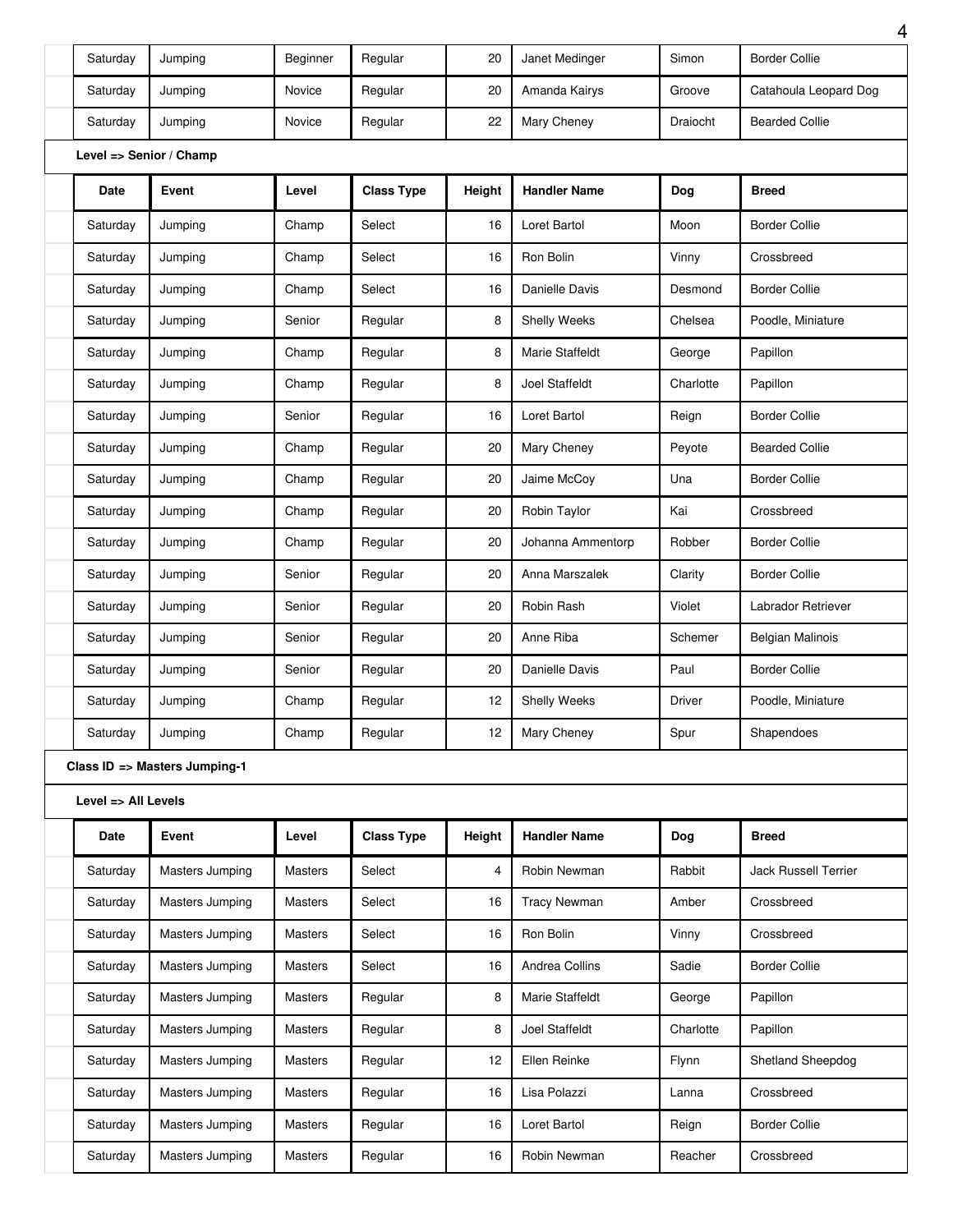| Saturday                | Jumping                       | Beginner       | Regular           | 20     | Janet Medinger      | Simon     | <b>Border Collie</b>    |
|-------------------------|-------------------------------|----------------|-------------------|--------|---------------------|-----------|-------------------------|
| Saturday                | Jumping                       | Novice         | Regular           | 20     | Amanda Kairys       | Groove    | Catahoula Leopard Dog   |
| Saturday                | Jumping                       | Novice         | Regular           | 22     | Mary Cheney         | Draiocht  | <b>Bearded Collie</b>   |
| Level => Senior / Champ |                               |                |                   |        |                     |           |                         |
| <b>Date</b>             | Event                         | Level          | <b>Class Type</b> | Height | <b>Handler Name</b> | Dog       | <b>Breed</b>            |
| Saturday                | Jumping                       | Champ          | Select            | 16     | Loret Bartol        | Moon      | <b>Border Collie</b>    |
| Saturday                | Jumping                       | Champ          | Select            | 16     | Ron Bolin           | Vinny     | Crossbreed              |
| Saturday                | Jumping                       | Champ          | Select            | 16     | Danielle Davis      | Desmond   | <b>Border Collie</b>    |
| Saturday                | Jumping                       | Senior         | Regular           | 8      | Shelly Weeks        | Chelsea   | Poodle, Miniature       |
| Saturday                | Jumping                       | Champ          | Regular           | 8      | Marie Staffeldt     | George    | Papillon                |
| Saturday                | Jumping                       | Champ          | Regular           | 8      | Joel Staffeldt      | Charlotte | Papillon                |
| Saturday                | Jumping                       | Senior         | Regular           | 16     | Loret Bartol        | Reign     | <b>Border Collie</b>    |
| Saturday                | Jumping                       | Champ          | Regular           | 20     | Mary Cheney         | Peyote    | <b>Bearded Collie</b>   |
| Saturday                | Jumping                       | Champ          | Regular           | 20     | Jaime McCov         | Una       | <b>Border Collie</b>    |
| Saturday                | Jumping                       | Champ          | Regular           | 20     | Robin Taylor        | Kai       | Crossbreed              |
| Saturday                | Jumping                       | Champ          | Regular           | 20     | Johanna Ammentorp   | Robber    | <b>Border Collie</b>    |
| Saturday                | Jumping                       | Senior         | Regular           | 20     | Anna Marszalek      | Clarity   | <b>Border Collie</b>    |
| Saturday                | Jumping                       | Senior         | Regular           | 20     | Robin Rash          | Violet    | Labrador Retriever      |
| Saturday                | Jumping                       | Senior         | Regular           | 20     | Anne Riba           | Schemer   | <b>Belgian Malinois</b> |
| Saturday                | Jumping                       | Senior         | Regular           | 20     | Danielle Davis      | Paul      | <b>Border Collie</b>    |
| Saturday                | Jumping                       | Champ          | Regular           | 12     | Shelly Weeks        | Driver    | Poodle, Miniature       |
| Saturday                | Jumping                       | Champ          | Regular           | 12     | Mary Cheney         | Spur      | Shapendoes              |
|                         | Class ID => Masters Jumping-1 |                |                   |        |                     |           |                         |
| Level => All Levels     |                               |                |                   |        |                     |           |                         |
| Date                    | Event                         | Level          | <b>Class Type</b> | Height | <b>Handler Name</b> | Dog       | <b>Breed</b>            |
| Saturday                | Masters Jumping               | Masters        | Select            | 4      | Robin Newman        | Rabbit    | Jack Russell Terrier    |
| Saturday                | Masters Jumping               | <b>Masters</b> | Select            | 16     | <b>Tracy Newman</b> | Amber     | Crossbreed              |
| Saturday                | Masters Jumping               | Masters        | Select            | 16     | Ron Bolin           | Vinny     | Crossbreed              |
| Saturday                | Masters Jumping               | Masters        | Select            | 16     | Andrea Collins      | Sadie     | <b>Border Collie</b>    |
| Saturday                | Masters Jumping               | Masters        | Regular           | 8      | Marie Staffeldt     | George    | Papillon                |
| Saturday                | Masters Jumping               | Masters        | Regular           | 8      | Joel Staffeldt      | Charlotte | Papillon                |
| Saturday                | Masters Jumping               | <b>Masters</b> | Regular           | 12     | Ellen Reinke        | Flynn     | Shetland Sheepdog       |
| Saturday                | Masters Jumping               | Masters        | Regular           | 16     | Lisa Polazzi        | Lanna     | Crossbreed              |
| Saturday                | Masters Jumping               | Masters        | Regular           | 16     | Loret Bartol        | Reign     | <b>Border Collie</b>    |
| Saturday                | Masters Jumping               | Masters        | Regular           | 16     | Robin Newman        | Reacher   | Crossbreed              |
|                         |                               |                |                   |        |                     |           |                         |

4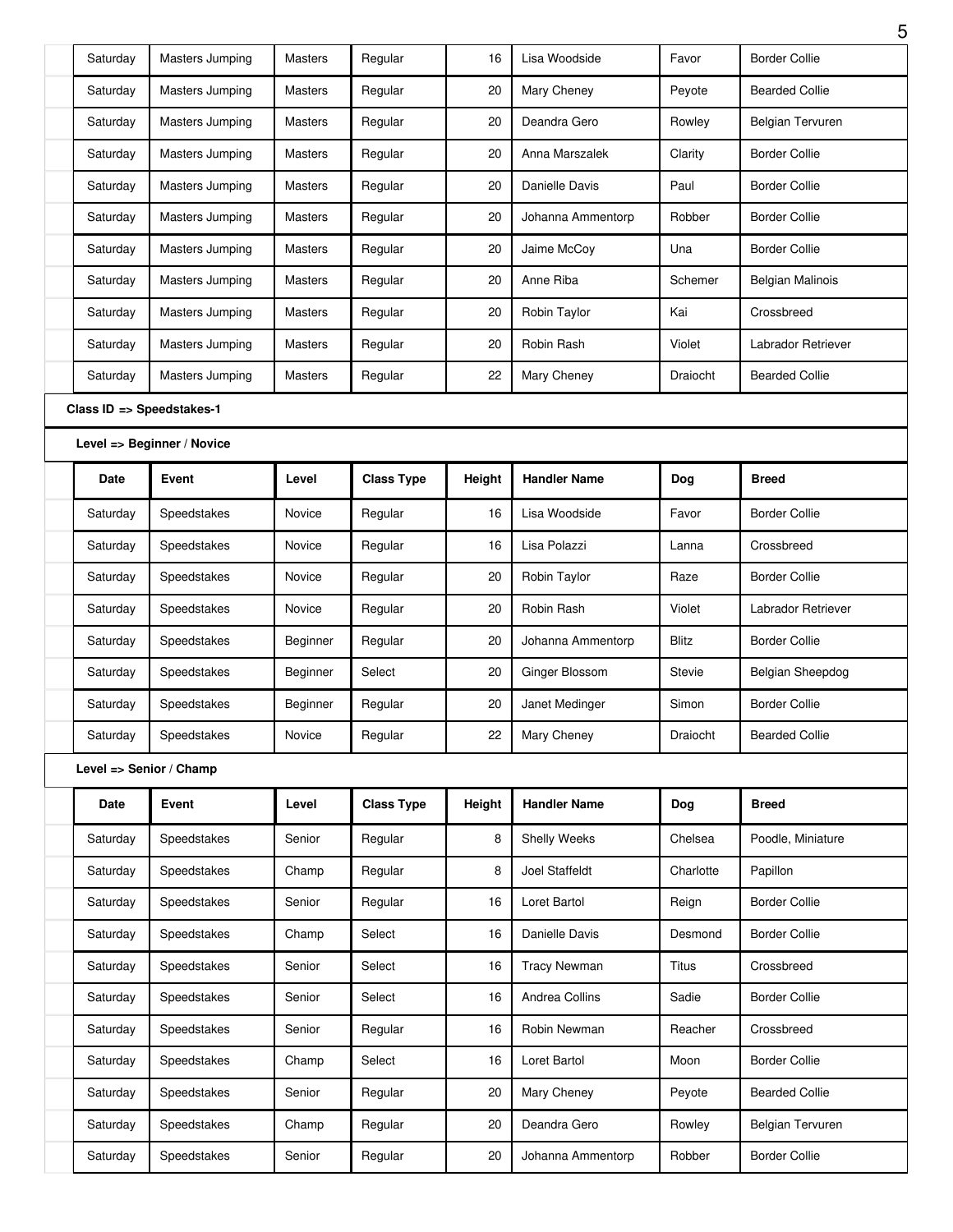| Saturday | Masters Jumping            | <b>Masters</b> | Regular           | 16     | Lisa Woodside       | Favor        | <b>Border Collie</b>    |
|----------|----------------------------|----------------|-------------------|--------|---------------------|--------------|-------------------------|
| Saturday | Masters Jumping            | <b>Masters</b> | Regular           | 20     | Mary Cheney         | Peyote       | <b>Bearded Collie</b>   |
| Saturday | Masters Jumping            | <b>Masters</b> | Regular           | 20     | Deandra Gero        | Rowley       | <b>Belgian Tervuren</b> |
| Saturday | Masters Jumping            | <b>Masters</b> | Regular           | 20     | Anna Marszalek      | Clarity      | <b>Border Collie</b>    |
| Saturday | Masters Jumping            | <b>Masters</b> | Regular           | 20     | Danielle Davis      | Paul         | <b>Border Collie</b>    |
| Saturday | Masters Jumping            | <b>Masters</b> | Regular           | 20     | Johanna Ammentorp   | Robber       | <b>Border Collie</b>    |
| Saturday | Masters Jumping            | <b>Masters</b> | Regular           | 20     | Jaime McCoy         | Una          | <b>Border Collie</b>    |
| Saturday | Masters Jumping            | <b>Masters</b> | Regular           | 20     | Anne Riba           | Schemer      | <b>Belgian Malinois</b> |
| Saturday | Masters Jumping            | <b>Masters</b> | Regular           | 20     | Robin Taylor        | Kai          | Crossbreed              |
| Saturday | Masters Jumping            | <b>Masters</b> | Regular           | 20     | Robin Rash          | Violet       | Labrador Retriever      |
| Saturday | Masters Jumping            | <b>Masters</b> | Regular           | 22     | Mary Cheney         | Draiocht     | <b>Bearded Collie</b>   |
|          | Class ID => Speedstakes-1  |                |                   |        |                     |              |                         |
|          | Level => Beginner / Novice |                |                   |        |                     |              |                         |
| Date     | Event                      | Level          | <b>Class Type</b> | Height | <b>Handler Name</b> | Dog          | <b>Breed</b>            |
| Saturday | Speedstakes                | Novice         | Regular           | 16     | Lisa Woodside       | Favor        | <b>Border Collie</b>    |
| Saturday | Speedstakes                | Novice         | Regular           | 16     | Lisa Polazzi        | Lanna        | Crossbreed              |
| Saturday | Speedstakes                | Novice         | Regular           | 20     | Robin Taylor        | Raze         | <b>Border Collie</b>    |
| Saturday | Speedstakes                | Novice         | Regular           | 20     | Robin Rash          | Violet       | Labrador Retriever      |
| Saturday | Speedstakes                | Beginner       | Regular           | 20     | Johanna Ammentorp   | <b>Blitz</b> | <b>Border Collie</b>    |
| Saturday | Speedstakes                | Beginner       | Select            | 20     | Ginger Blossom      | Stevie       | Belgian Sheepdog        |
| Saturday | Speedstakes                | Beginner       | Regular           | 20     | Janet Medinger      | Simon        | <b>Border Collie</b>    |
| Saturday | Speedstakes                | Novice         | Regular           | 22     | Mary Cheney         | Draiocht     | <b>Bearded Collie</b>   |
|          | Level => Senior / Champ    |                |                   |        |                     |              |                         |
| Date     | Event                      | Level          | <b>Class Type</b> | Height | <b>Handler Name</b> | Dog          | <b>Breed</b>            |
| Saturday | Speedstakes                | Senior         | Regular           | 8      | Shelly Weeks        | Chelsea      | Poodle, Miniature       |
| Saturday | Speedstakes                | Champ          | Regular           | 8      | Joel Staffeldt      | Charlotte    | Papillon                |
| Saturday | Speedstakes                | Senior         | Regular           | 16     | Loret Bartol        | Reign        | <b>Border Collie</b>    |
| Saturday | Speedstakes                | Champ          | Select            | 16     | Danielle Davis      | Desmond      | <b>Border Collie</b>    |
| Saturday | Speedstakes                | Senior         | Select            | 16     | <b>Tracy Newman</b> | Titus        | Crossbreed              |
| Saturday | Speedstakes                | Senior         | Select            | 16     | Andrea Collins      | Sadie        | <b>Border Collie</b>    |
| Saturday | Speedstakes                | Senior         | Regular           | 16     | Robin Newman        | Reacher      | Crossbreed              |
|          |                            | Champ          | Select            | 16     | Loret Bartol        | Moon         | <b>Border Collie</b>    |
| Saturday | Speedstakes                |                |                   |        |                     |              |                         |
| Saturday | Speedstakes                | Senior         | Regular           | 20     | Mary Cheney         | Peyote       | <b>Bearded Collie</b>   |
| Saturday | Speedstakes                | Champ          | Regular           | 20     | Deandra Gero        | Rowley       | Belgian Tervuren        |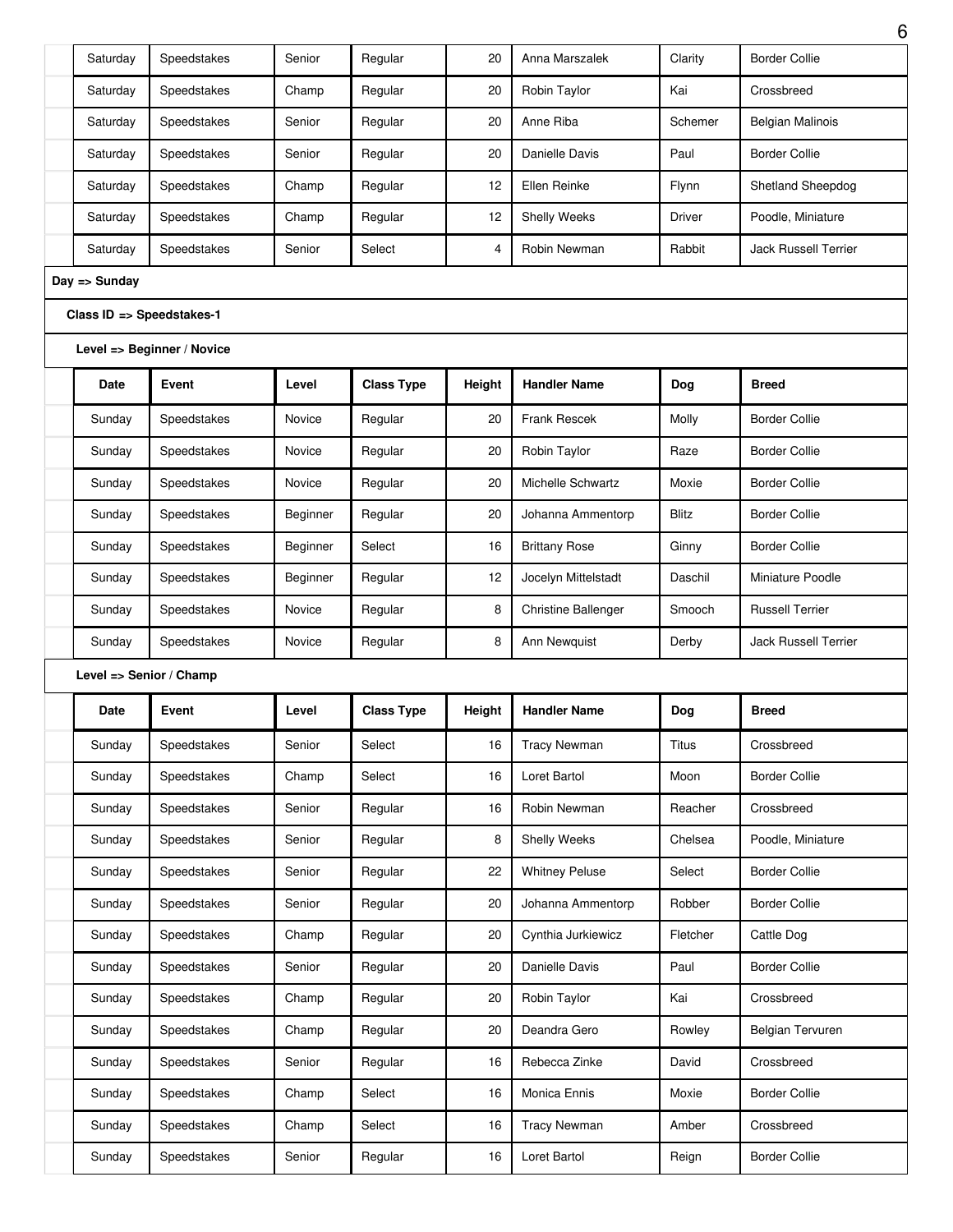| Saturday      | Speedstakes                | Senior   | Regular           | 20     | Anna Marszalek             | Clarity       | <b>Border Collie</b>        |
|---------------|----------------------------|----------|-------------------|--------|----------------------------|---------------|-----------------------------|
| Saturday      | Speedstakes                | Champ    | Regular           | 20     | Robin Taylor               | Kai           | Crossbreed                  |
| Saturday      | Speedstakes                | Senior   | Regular           | 20     | Anne Riba                  | Schemer       | <b>Belgian Malinois</b>     |
| Saturday      | Speedstakes                | Senior   | Regular           | 20     | Danielle Davis             | Paul          | <b>Border Collie</b>        |
| Saturday      | Speedstakes                | Champ    | Regular           | 12     | Ellen Reinke               | Flynn         | Shetland Sheepdog           |
| Saturday      | Speedstakes                | Champ    | Regular           | 12     | <b>Shelly Weeks</b>        | <b>Driver</b> | Poodle, Miniature           |
| Saturday      | Speedstakes                | Senior   | Select            | 4      | Robin Newman               | Rabbit        | <b>Jack Russell Terrier</b> |
| Day => Sunday |                            |          |                   |        |                            |               |                             |
|               | Class ID => Speedstakes-1  |          |                   |        |                            |               |                             |
|               | Level => Beginner / Novice |          |                   |        |                            |               |                             |
| <b>Date</b>   | Event                      | Level    | <b>Class Type</b> | Height | <b>Handler Name</b>        | Dog           | <b>Breed</b>                |
| Sunday        | Speedstakes                | Novice   | Regular           | 20     | Frank Rescek               | Molly         | <b>Border Collie</b>        |
| Sunday        | Speedstakes                | Novice   | Regular           | 20     | Robin Taylor               | Raze          | <b>Border Collie</b>        |
| Sunday        | Speedstakes                | Novice   | Regular           | 20     | Michelle Schwartz          | Moxie         | <b>Border Collie</b>        |
| Sunday        | Speedstakes                | Beginner | Regular           | 20     | Johanna Ammentorp          | Blitz         | <b>Border Collie</b>        |
| Sunday        | Speedstakes                | Beginner | Select            | 16     | <b>Brittany Rose</b>       | Ginny         | <b>Border Collie</b>        |
| Sunday        | Speedstakes                | Beginner | Regular           | 12     | Jocelyn Mittelstadt        | Daschil       | Miniature Poodle            |
| Sunday        | Speedstakes                | Novice   | Regular           | 8      | <b>Christine Ballenger</b> | Smooch        | <b>Russell Terrier</b>      |
| Sunday        | Speedstakes                | Novice   | Regular           | 8      | Ann Newquist               | Derby         | <b>Jack Russell Terrier</b> |
|               | Level => Senior / Champ    |          |                   |        |                            |               |                             |
| Date          | Event                      | Level    | <b>Class Type</b> | Height | <b>Handler Name</b>        | Dog           | <b>Breed</b>                |
| Sunday        | Speedstakes                | Senior   | Select            | 16     | <b>Tracy Newman</b>        | <b>Titus</b>  | Crossbreed                  |
| Sunday        | Speedstakes                | Champ    | Select            | 16     | Loret Bartol               | Moon          | <b>Border Collie</b>        |
| Sunday        | Speedstakes                | Senior   | Regular           | 16     | Robin Newman               | Reacher       | Crossbreed                  |
| Sunday        | Speedstakes                | Senior   | Regular           | 8      | Shelly Weeks               | Chelsea       | Poodle, Miniature           |
| Sunday        | Speedstakes                | Senior   | Regular           |        |                            |               |                             |
|               |                            |          |                   | 22     | <b>Whitney Peluse</b>      | Select        | <b>Border Collie</b>        |
| Sunday        | Speedstakes                | Senior   | Regular           | 20     | Johanna Ammentorp          | Robber        | <b>Border Collie</b>        |
| Sunday        | Speedstakes                | Champ    | Regular           | 20     | Cynthia Jurkiewicz         | Fletcher      | Cattle Dog                  |
| Sunday        | Speedstakes                | Senior   | Regular           | 20     | Danielle Davis             | Paul          | <b>Border Collie</b>        |
| Sunday        | Speedstakes                | Champ    | Regular           | 20     | Robin Taylor               | Kai           | Crossbreed                  |
| Sunday        | Speedstakes                | Champ    | Regular           | 20     | Deandra Gero               | Rowley        | <b>Belgian Tervuren</b>     |
| Sunday        | Speedstakes                | Senior   | Regular           | 16     | Rebecca Zinke              | David         | Crossbreed                  |
| Sunday        | Speedstakes                | Champ    | Select            | 16     | Monica Ennis               | Moxie         | <b>Border Collie</b>        |
| Sunday        | Speedstakes                | Champ    | Select            | 16     | <b>Tracy Newman</b>        | Amber         | Crossbreed                  |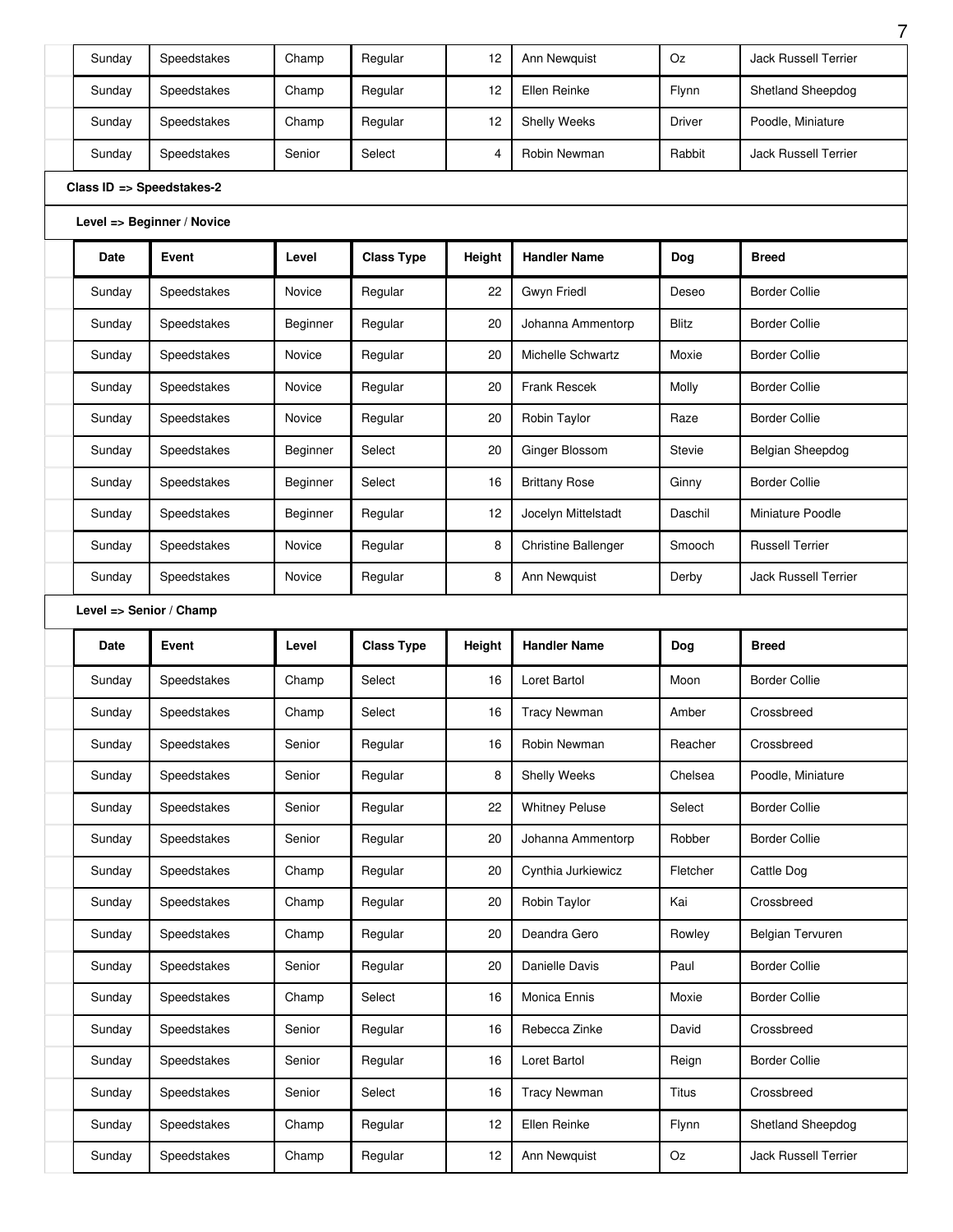| Sunday | Speedstakes                | Champ    | Regular           | 12     | Ann Newquist          | Oz            | <b>Jack Russell Terrier</b> |
|--------|----------------------------|----------|-------------------|--------|-----------------------|---------------|-----------------------------|
| Sunday | Speedstakes                | Champ    | Regular           | 12     | Ellen Reinke          | Flynn         | Shetland Sheepdog           |
| Sunday | Speedstakes                | Champ    | Regular           | 12     | Shelly Weeks          | <b>Driver</b> | Poodle, Miniature           |
| Sunday | Speedstakes                | Senior   | Select            | 4      | Robin Newman          | Rabbit        | Jack Russell Terrier        |
|        | Class ID => Speedstakes-2  |          |                   |        |                       |               |                             |
|        | Level => Beginner / Novice |          |                   |        |                       |               |                             |
| Date   | Event                      | Level    | <b>Class Type</b> | Height | <b>Handler Name</b>   | Dog           | <b>Breed</b>                |
| Sunday | Speedstakes                | Novice   | Regular           | 22     | Gwyn Friedl           | Deseo         | <b>Border Collie</b>        |
| Sunday | Speedstakes                | Beginner | Regular           | 20     | Johanna Ammentorp     | <b>Blitz</b>  | <b>Border Collie</b>        |
| Sunday | Speedstakes                | Novice   | Regular           | 20     | Michelle Schwartz     | Moxie         | <b>Border Collie</b>        |
| Sunday | Speedstakes                | Novice   | Regular           | 20     | <b>Frank Rescek</b>   | Molly         | <b>Border Collie</b>        |
| Sunday | Speedstakes                | Novice   | Regular           | 20     | Robin Taylor          | Raze          | <b>Border Collie</b>        |
| Sunday | Speedstakes                | Beginner | Select            | 20     | Ginger Blossom        | Stevie        | Belgian Sheepdog            |
| Sunday | Speedstakes                | Beginner | Select            | 16     | <b>Brittany Rose</b>  | Ginny         | <b>Border Collie</b>        |
| Sunday | Speedstakes                | Beginner | Regular           | 12     | Jocelyn Mittelstadt   | Daschil       | Miniature Poodle            |
| Sunday | Speedstakes                | Novice   | Regular           | 8      | Christine Ballenger   | Smooch        | <b>Russell Terrier</b>      |
|        |                            |          |                   |        |                       |               |                             |
| Sunday | Speedstakes                | Novice   | Regular           | 8      | Ann Newquist          | Derby         | <b>Jack Russell Terrier</b> |
|        | Level => Senior / Champ    |          |                   |        |                       |               |                             |
| Date   | Event                      | Level    | <b>Class Type</b> | Height | <b>Handler Name</b>   | Dog           | <b>Breed</b>                |
| Sunday | Speedstakes                | Champ    | Select            | 16     | Loret Bartol          | Moon          | <b>Border Collie</b>        |
| Sunday | Speedstakes                | Champ    | Select            | 16     | <b>Tracy Newman</b>   | Amber         | Crossbreed                  |
| Sunday | Speedstakes                | Senior   | Regular           | 16     | Robin Newman          | Reacher       | Crossbreed                  |
| Sunday | Speedstakes                | Senior   | Regular           | 8      | Shelly Weeks          | Chelsea       | Poodle, Miniature           |
| Sunday | Speedstakes                | Senior   | Regular           | 22     | <b>Whitney Peluse</b> | Select        | <b>Border Collie</b>        |
| Sunday | Speedstakes                | Senior   | Regular           | 20     | Johanna Ammentorp     | Robber        | <b>Border Collie</b>        |
| Sunday | Speedstakes                | Champ    | Regular           | 20     | Cynthia Jurkiewicz    | Fletcher      | Cattle Dog                  |
| Sunday | Speedstakes                | Champ    | Regular           | 20     | Robin Taylor          | Kai           | Crossbreed                  |
| Sunday | Speedstakes                | Champ    | Regular           | 20     | Deandra Gero          | Rowley        | Belgian Tervuren            |
| Sunday | Speedstakes                | Senior   | Regular           | 20     | Danielle Davis        | Paul          | <b>Border Collie</b>        |
| Sunday | Speedstakes                | Champ    | Select            | 16     | Monica Ennis          | Moxie         | <b>Border Collie</b>        |
| Sunday | Speedstakes                | Senior   | Regular           | 16     | Rebecca Zinke         | David         | Crossbreed                  |
| Sunday | Speedstakes                | Senior   | Regular           | 16     | Loret Bartol          | Reign         | <b>Border Collie</b>        |
| Sunday | Speedstakes                | Senior   | Select            | 16     | <b>Tracy Newman</b>   | <b>Titus</b>  | Crossbreed                  |
| Sunday | Speedstakes                | Champ    | Regular           | 12     | Ellen Reinke          | Flynn         | Shetland Sheepdog           |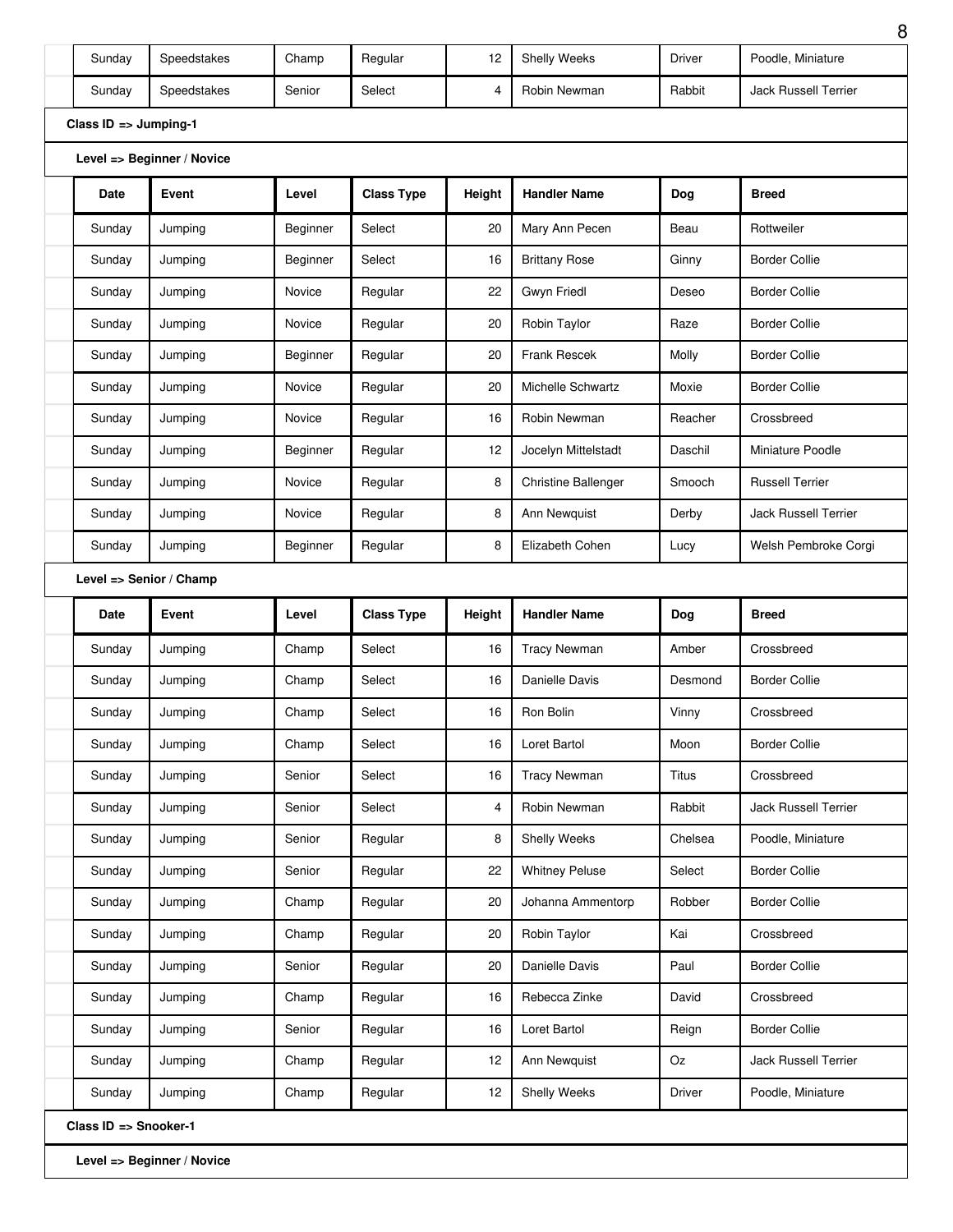| Sunday                           | Speedstakes                | Champ    | Regular           | 12     | Shelly Weeks               | <b>Driver</b> | Poodle, Miniature           |
|----------------------------------|----------------------------|----------|-------------------|--------|----------------------------|---------------|-----------------------------|
| Sunday                           | Speedstakes                | Senior   | Select            | 4      | Robin Newman               | Rabbit        | <b>Jack Russell Terrier</b> |
| Class $ID \Rightarrow Jumping-1$ |                            |          |                   |        |                            |               |                             |
|                                  | Level => Beginner / Novice |          |                   |        |                            |               |                             |
| Date                             | Event                      | Level    | <b>Class Type</b> | Height | <b>Handler Name</b>        | Dog           | <b>Breed</b>                |
| Sunday                           | Jumping                    | Beginner | Select            | 20     | Mary Ann Pecen             | Beau          | Rottweiler                  |
| Sunday                           | Jumpina                    | Beginner | Select            | 16     | <b>Brittany Rose</b>       | Ginny         | <b>Border Collie</b>        |
| Sunday                           | Jumping                    | Novice   | Regular           | 22     | Gwyn Friedl                | Deseo         | <b>Border Collie</b>        |
| Sunday                           | Jumping                    | Novice   | Regular           | 20     | Robin Taylor               | Raze          | <b>Border Collie</b>        |
| Sunday                           | Jumping                    | Beginner | Regular           | 20     | <b>Frank Rescek</b>        | Molly         | <b>Border Collie</b>        |
| Sunday                           | Jumping                    | Novice   | Regular           | 20     | Michelle Schwartz          | Moxie         | <b>Border Collie</b>        |
| Sunday                           | Jumping                    | Novice   | Regular           | 16     | Robin Newman               | Reacher       | Crossbreed                  |
| Sunday                           | Jumping                    | Beginner | Regular           | 12     | Jocelyn Mittelstadt        | Daschil       | Miniature Poodle            |
| Sunday                           | Jumping                    | Novice   | Regular           | 8      | <b>Christine Ballenger</b> | Smooch        | <b>Russell Terrier</b>      |
| Sunday                           | Jumping                    | Novice   | Regular           | 8      | Ann Newquist               | Derby         | <b>Jack Russell Terrier</b> |
| Sunday                           | Jumping                    | Beginner | Regular           | 8      | Elizabeth Cohen            | Lucy          | Welsh Pembroke Corgi        |
|                                  | Level => Senior / Champ    |          |                   |        |                            |               |                             |
|                                  |                            |          |                   |        |                            |               |                             |
| Date                             | Event                      | Level    | <b>Class Type</b> | Height | <b>Handler Name</b>        | Dog           | <b>Breed</b>                |
| Sunday                           | Jumping                    | Champ    | Select            | 16     | <b>Tracy Newman</b>        | Amber         | Crossbreed                  |
| Sunday                           | Jumping                    | Champ    | Select            | 16     | Danielle Davis             | Desmond       | <b>Border Collie</b>        |
| Sunday                           | Jumping                    | Champ    | Select            | 16     | Ron Bolin                  | Vinny         | Crossbreed                  |
| Sunday                           | Jumping                    | Champ    | Select            | 16     | Loret Bartol               | Moon          | <b>Border Collie</b>        |
| Sunday                           | Jumping                    | Senior   | Select            | 16     | <b>Tracy Newman</b>        | Titus         | Crossbreed                  |
| Sunday                           | Jumping                    | Senior   | Select            | 4      | Robin Newman               | Rabbit        | Jack Russell Terrier        |
| Sunday                           | Jumping                    | Senior   | Regular           | 8      | Shelly Weeks               | Chelsea       | Poodle, Miniature           |
| Sunday                           | Jumping                    | Senior   | Regular           | 22     | <b>Whitney Peluse</b>      | Select        | <b>Border Collie</b>        |
| Sunday                           | Jumping                    | Champ    | Regular           | 20     | Johanna Ammentorp          | Robber        | <b>Border Collie</b>        |
| Sunday                           | Jumping                    | Champ    | Regular           | 20     | Robin Taylor               | Kai           | Crossbreed                  |
| Sunday                           | Jumping                    | Senior   | Regular           | 20     | Danielle Davis             | Paul          | <b>Border Collie</b>        |
| Sunday                           | Jumping                    | Champ    | Regular           | 16     | Rebecca Zinke              | David         | Crossbreed                  |
| Sunday                           | Jumping                    | Senior   | Regular           | 16     | Loret Bartol               | Reign         | <b>Border Collie</b>        |
| Sunday                           | Jumping                    | Champ    | Regular           | 12     | Ann Newquist               | Oz            | Jack Russell Terrier        |
| Sunday                           | Jumping                    | Champ    | Regular           | 12     | Shelly Weeks               | <b>Driver</b> | Poodle, Miniature           |

**Level => Beginner / Novice**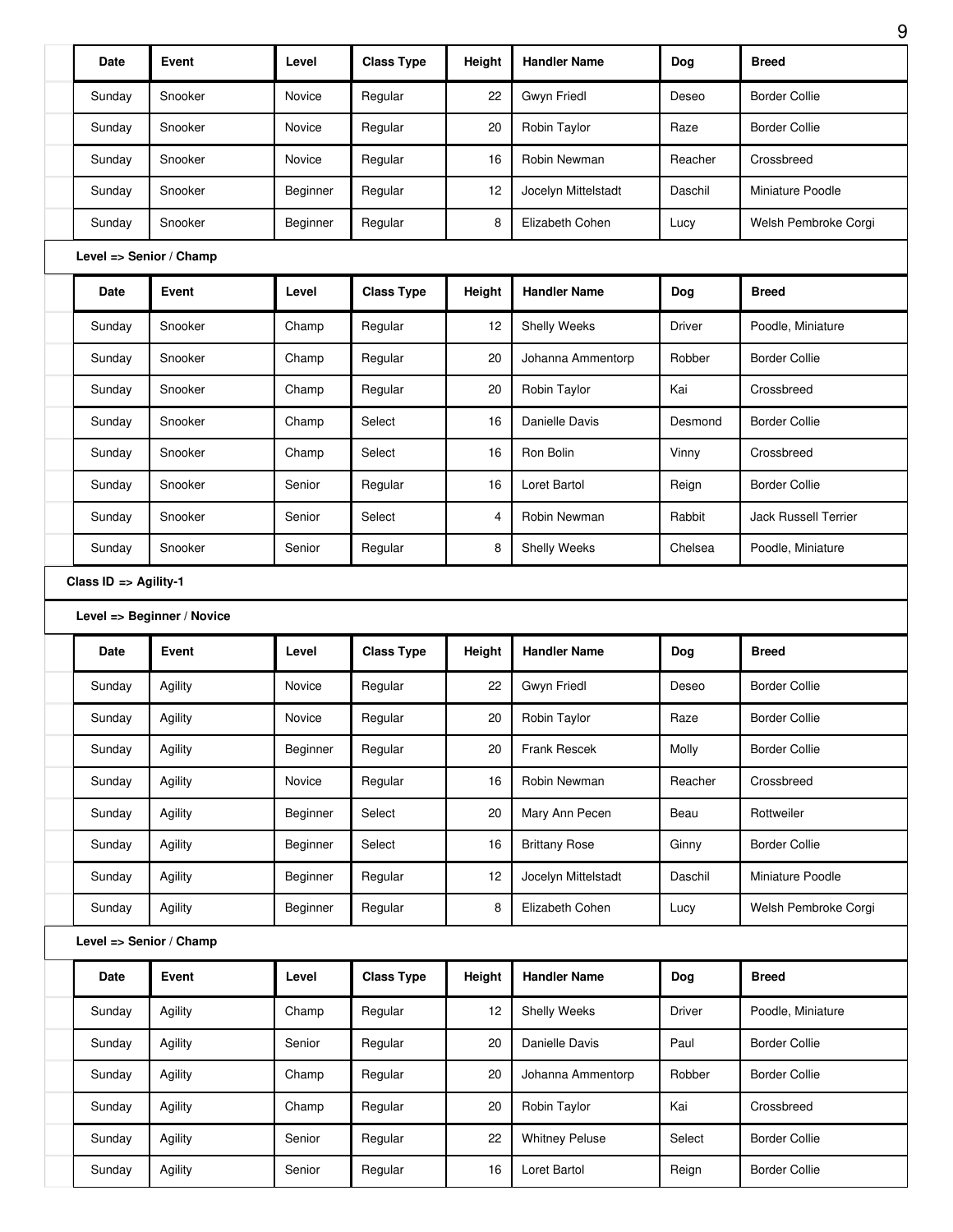|                       | Event                      | Level    | <b>Class Type</b> |        | <b>Handler Name</b>   |               | <b>Breed</b>                                 |
|-----------------------|----------------------------|----------|-------------------|--------|-----------------------|---------------|----------------------------------------------|
| <b>Date</b>           |                            |          |                   | Height |                       | Dog           |                                              |
| Sunday                | Snooker                    | Novice   | Regular           | 22     | Gwyn Friedl           | Deseo         | <b>Border Collie</b>                         |
| Sunday                | Snooker                    | Novice   | Regular           | 20     | Robin Taylor          | Raze          | <b>Border Collie</b>                         |
| Sunday                | Snooker                    | Novice   | Regular           | 16     | Robin Newman          | Reacher       | Crossbreed                                   |
| Sunday                | Snooker                    | Beginner | Regular           | 12     | Jocelyn Mittelstadt   | Daschil       | Miniature Poodle                             |
| Sunday                | Snooker                    | Beginner | Regular           | 8      | Elizabeth Cohen       | Lucy          | Welsh Pembroke Corgi                         |
|                       | Level => Senior / Champ    |          |                   |        |                       |               |                                              |
| Date                  | Event                      | Level    | <b>Class Type</b> | Height | <b>Handler Name</b>   | Dog           | <b>Breed</b>                                 |
| Sunday                | Snooker                    | Champ    | Regular           | 12     | Shelly Weeks          | Driver        | Poodle, Miniature                            |
| Sunday                | Snooker                    | Champ    | Regular           | 20     | Johanna Ammentorp     | Robber        | <b>Border Collie</b>                         |
| Sunday                | Snooker                    | Champ    | Regular           | 20     | Robin Taylor          | Kai           | Crossbreed                                   |
| Sunday                | Snooker                    | Champ    | Select            | 16     | Danielle Davis        | Desmond       | <b>Border Collie</b>                         |
| Sunday                | Snooker                    | Champ    | Select            | 16     | Ron Bolin             | Vinny         | Crossbreed                                   |
| Sunday                | Snooker                    | Senior   | Regular           | 16     | Loret Bartol          | Reign         | <b>Border Collie</b>                         |
| Sunday                | Snooker                    | Senior   | Select            | 4      | Robin Newman          | Rabbit        | Jack Russell Terrier                         |
| Sunday                | Snooker                    | Senior   | Regular           | 8      | Shelly Weeks          | Chelsea       | Poodle, Miniature                            |
| Class ID => Agility-1 |                            |          |                   |        |                       |               |                                              |
|                       | Level => Beginner / Novice |          |                   |        |                       |               |                                              |
|                       |                            |          |                   |        |                       |               |                                              |
| Date                  | Event                      | Level    | <b>Class Type</b> | Height | <b>Handler Name</b>   | Dog           | <b>Breed</b>                                 |
| Sunday                | Agility                    | Novice   | Regular           | 22     | Gwyn Friedl           | Deseo         | <b>Border Collie</b>                         |
| Sunday                | Agility                    | Novice   | Regular           | $20\,$ | Robin Taylor          | Raze          | <b>Border Collie</b>                         |
| Sunday                | Agility                    | Beginner | Regular           | 20     | Frank Rescek          | Molly         | <b>Border Collie</b>                         |
| Sunday                | Agility                    | Novice   | Regular           | 16     | Robin Newman          | Reacher       | Crossbreed                                   |
| Sunday                | Agility                    | Beginner | Select            | 20     | Mary Ann Pecen        | Beau          | Rottweiler                                   |
| Sunday                | Agility                    | Beginner | Select            | 16     | <b>Brittany Rose</b>  | Ginny         | <b>Border Collie</b>                         |
| Sunday                | Agility                    | Beginner | Regular           | 12     | Jocelyn Mittelstadt   | Daschil       | Miniature Poodle                             |
| Sunday                | Agility                    | Beginner | Regular           | 8      | Elizabeth Cohen       | Lucy          |                                              |
|                       | Level => Senior / Champ    |          |                   |        |                       |               |                                              |
| Date                  | Event                      | Level    | <b>Class Type</b> | Height | <b>Handler Name</b>   | Dog           | <b>Breed</b>                                 |
| Sunday                | Agility                    | Champ    | Regular           | 12     | Shelly Weeks          | <b>Driver</b> | Poodle, Miniature                            |
| Sunday                | Agility                    | Senior   | Regular           | 20     | Danielle Davis        | Paul          | <b>Border Collie</b>                         |
| Sunday                | Agility                    | Champ    | Regular           | 20     | Johanna Ammentorp     | Robber        | <b>Border Collie</b>                         |
| Sunday                | Agility                    | Champ    | Regular           | 20     | Robin Taylor          | Kai           | Crossbreed                                   |
| Sunday                | Agility                    | Senior   | Regular           | 22     | <b>Whitney Peluse</b> | Select        | Welsh Pembroke Corgi<br><b>Border Collie</b> |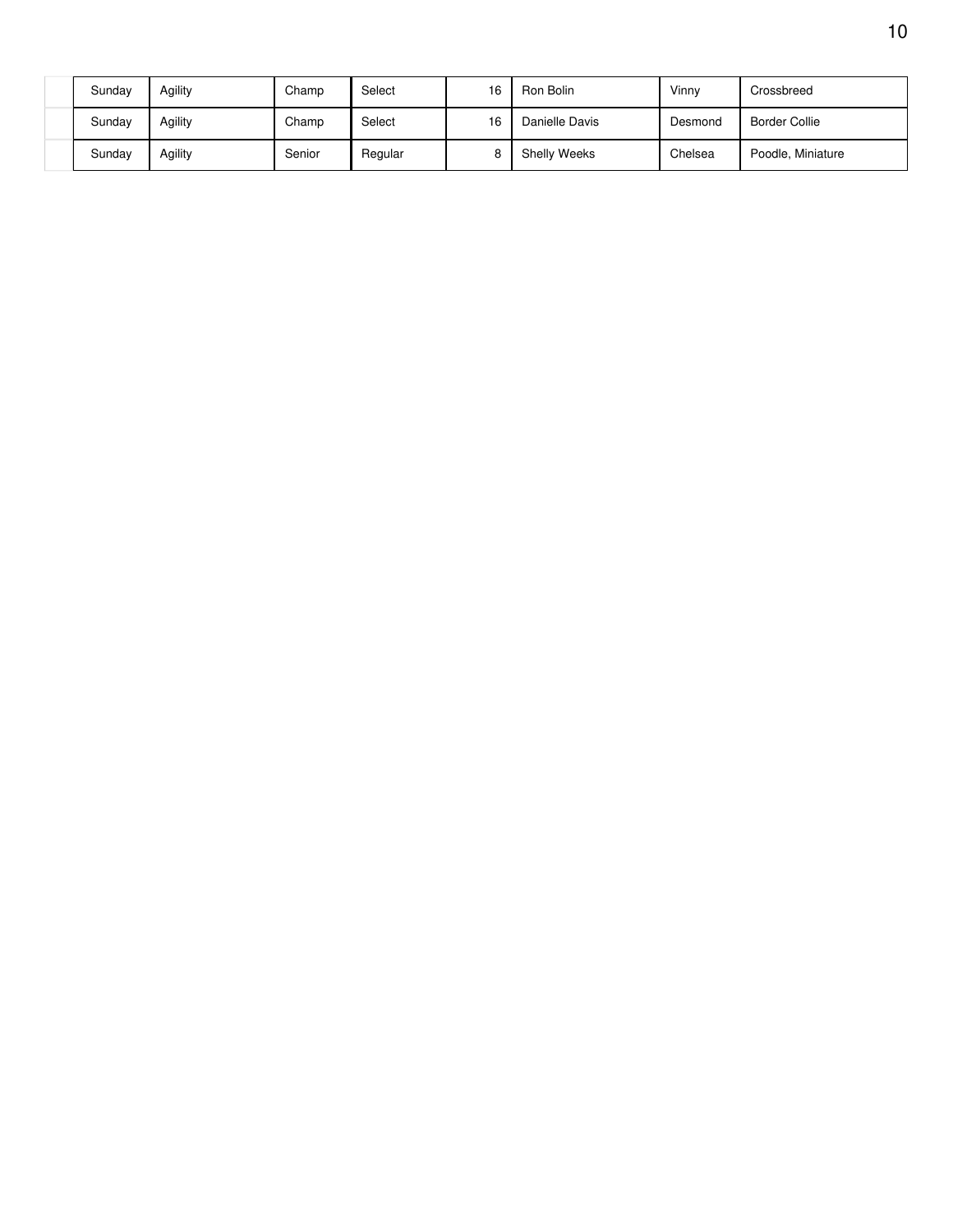| Sunday | Agility | Champ  | Select  | 16 | Ron Bolin           | Vinny   | Crossbreed        |
|--------|---------|--------|---------|----|---------------------|---------|-------------------|
| Sunday | Agility | Champ  | Select  | 16 | Danielle Davis      | Desmond | Border Collie     |
| Sunday | Agility | Senior | Regular |    | <b>Shelly Weeks</b> | Chelsea | Poodle, Miniature |